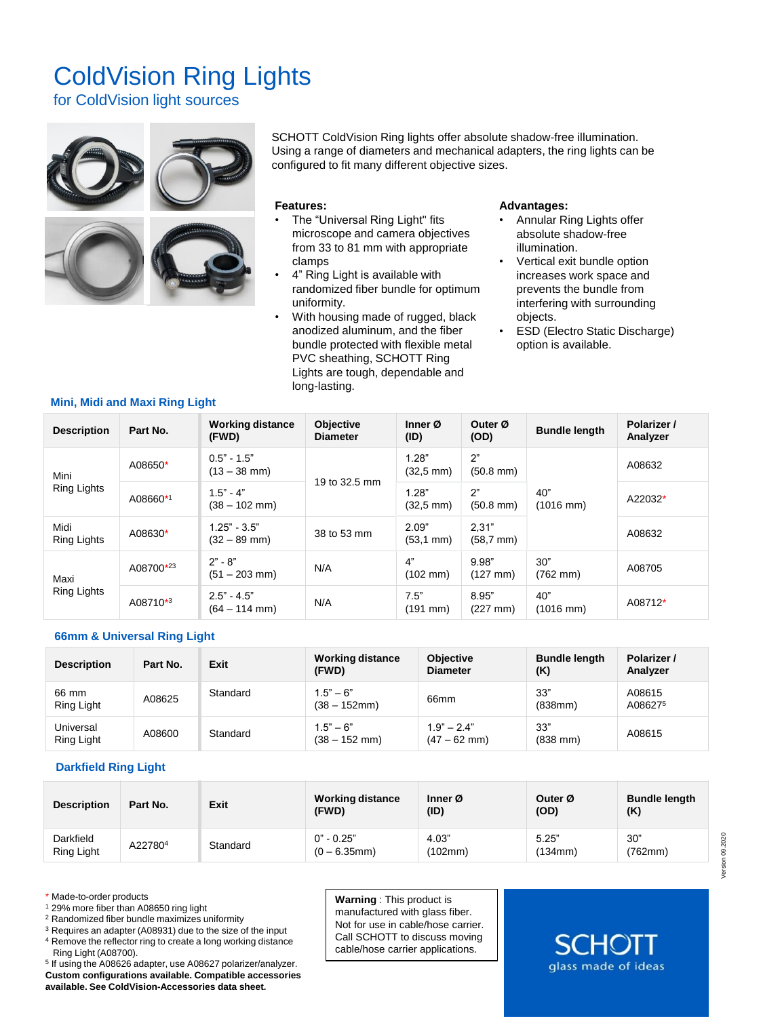# ColdVision Ring Lights

for ColdVision light sources



SCHOTT ColdVision Ring lights offer absolute shadow-free illumination. Using a range of diameters and mechanical adapters, the ring lights can be configured to fit many different objective sizes.

#### **Features:**

- The "Universal Ring Light" fits microscope and camera objectives from 33 to 81 mm with appropriate clamps
- 4" Ring Light is available with randomized fiber bundle for optimum uniformity.
- With housing made of rugged, black anodized aluminum, and the fiber bundle protected with flexible metal PVC sheathing, SCHOTT Ring Lights are tough, dependable and long-lasting.

#### **Advantages:**

- Annular Ring Lights offer absolute shadow-free illumination.
- Vertical exit bundle option increases work space and prevents the bundle from interfering with surrounding objects.
- ESD (Electro Static Discharge) option is available.

| <b>Description</b>  | Part No.             | <b>Working distance</b><br>(FWD) | Objective<br><b>Diameter</b> | Inner $\varnothing$<br>(ID)  | Outer Ø<br>(OD)                | <b>Bundle length</b>         | Polarizer /<br>Analyzer |
|---------------------|----------------------|----------------------------------|------------------------------|------------------------------|--------------------------------|------------------------------|-------------------------|
| Mini<br>Ring Lights | A08650*              | $0.5" - 1.5"$<br>(13 – 38 mm)    | 19 to 32.5 mm                | 1.28"<br>$(32.5 \text{ mm})$ | 2"<br>$(50.8 \text{ mm})$      | 40"<br>$(1016 \, \text{mm})$ | A08632                  |
|                     | A08660*1             | $1.5" - 4"$<br>(38 – 102 mm)     |                              | 1.28"<br>$(32,5 \text{ mm})$ | 2"<br>$(50.8 \text{ mm})$      |                              | A22032*                 |
| Midi<br>Ring Lights | A08630*              | $1.25" - 3.5"$<br>(32 – 89 mm)   | 38 to 53 mm                  | 2.09"<br>$(53.1 \text{ mm})$ | 2,31"<br>$(58,7 \, \text{mm})$ |                              | A08632                  |
| Maxi<br>Ring Lights | A08700*23            | $2" - 8"$<br>$(51 - 203$ mm)     | N/A                          | 4"<br>$(102 \, \text{mm})$   | 9.98"<br>$(127 \, \text{mm})$  | 30"<br>$(762 \, \text{mm})$  | A08705                  |
|                     | A08710 <sup>*3</sup> | $2.5 - 4.5$<br>$(64 - 114$ mm)   | N/A                          | 7.5"<br>$(191$ mm)           | 8.95"<br>$(227 \, \text{mm})$  | 40"<br>$(1016 \, \text{mm})$ | A08712*                 |

## **66mm & Universal Ring Light**

**Mini, Midi and Maxi Ring Light** 

| <b>Description</b>      | Part No. | Exit     | <b>Working distance</b><br>(FWD) | <b>Objective</b><br><b>Diameter</b> | <b>Bundle length</b><br>(K) | Polarizer /<br>Analyzer |
|-------------------------|----------|----------|----------------------------------|-------------------------------------|-----------------------------|-------------------------|
| 66 mm<br>Ring Light     | A08625   | Standard | $1.5" - 6"$<br>$(38 - 152$ mm)   | 66 <sub>mm</sub>                    | 33"<br>(838mm)              | A08615<br>A086275       |
| Universal<br>Ring Light | A08600   | Standard | $1.5" - 6"$<br>$(38 - 152$ mm)   | $1.9" - 2.4"$<br>$(47 - 62$ mm)     | 33"<br>$(838$ mm)           | A08615                  |

## **Darkfield Ring Light**

| <b>Description</b>      | Part No. | Exit     | <b>Working distance</b><br>(FWD) | Inner Ø<br>(ID)  | Outer Ø<br>(OD)  | <b>Bundle length</b><br>(K) |
|-------------------------|----------|----------|----------------------------------|------------------|------------------|-----------------------------|
| Darkfield<br>Ring Light | A227804  | Standard | $0" - 0.25"$<br>$(0 - 6.35$ mm)  | 4.03"<br>(102mm) | 5.25"<br>(134mm) | 30"<br>(762mm)              |

\* Made-to-order products

- <sup>1</sup> 29% more fiber than A08650 ring light
- <sup>2</sup> Randomized fiber bundle maximizes uniformity

<sup>3</sup> Requires an adapter (A08931) due to the size of the input <sup>4</sup> Remove the reflector ring to create a long working distance

Ring Light (A08700).

5 If using the A08626 adapter, use A08627 polarizer/analyzer. **Custom configurations available. Compatible accessories available. See ColdVision-Accessories data sheet.**

**Warning** : This product is manufactured with glass fiber. Not for use in cable/hose carrier. Call SCHOTT to discuss moving cable/hose carrier applications.

Version 09.2020

/ersion 09.2020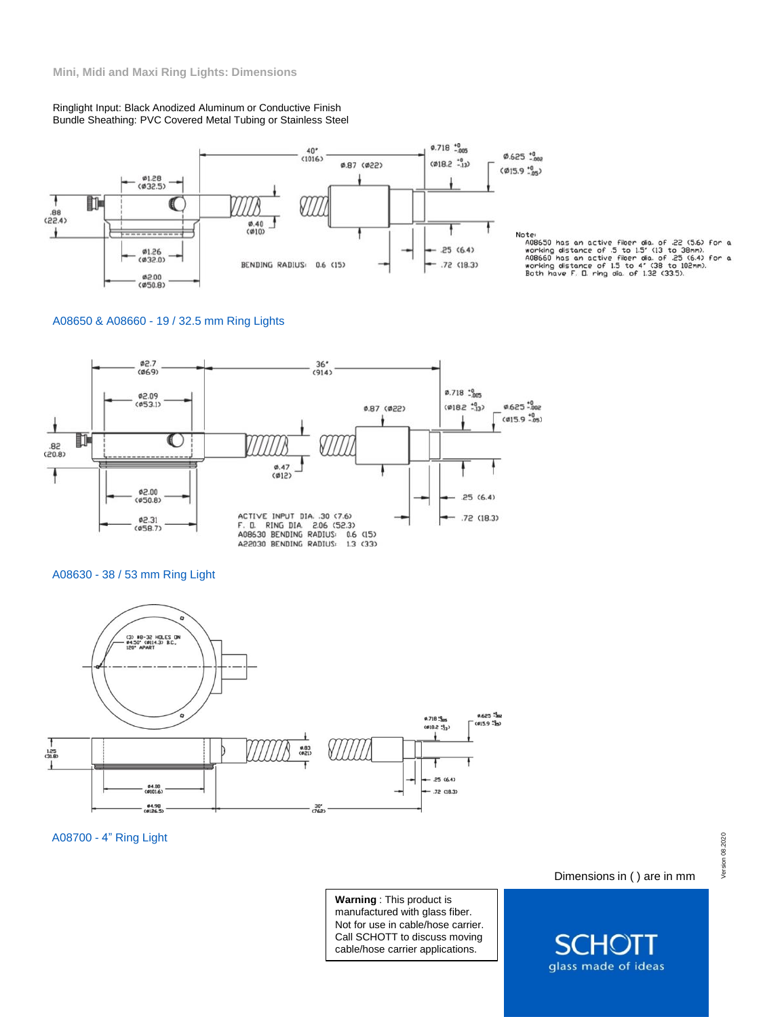Ringlight Input: Black Anodized Aluminum or Conductive Finish Bundle Sheathing: PVC Covered Metal Tubing or Stainless Steel



Note:<br>ADB650 has an active fiber dia. of 22 (5.6) for a<br>working distance of 5 to 1.5' (13 to 38mm).<br>ADB660 has an active fiber dia. of 25 (6.4) for a<br>working distance of 1.5 to 4' (38 to 102mm).<br>Both have F. D. ring dia. o

## A08650 & A08660 - 19 / 32.5 mm Ring Lights



#### A08630 - 38 / 53 mm Ring Light



A08700 - 4" Ring Light

**Warning** : This product is manufactured with glass fiber. Not for use in cable/hose carrier. Call SCHOTT to discuss moving cable/hose carrier applications.

Dimensions in ( ) are in mm

glass made of ideas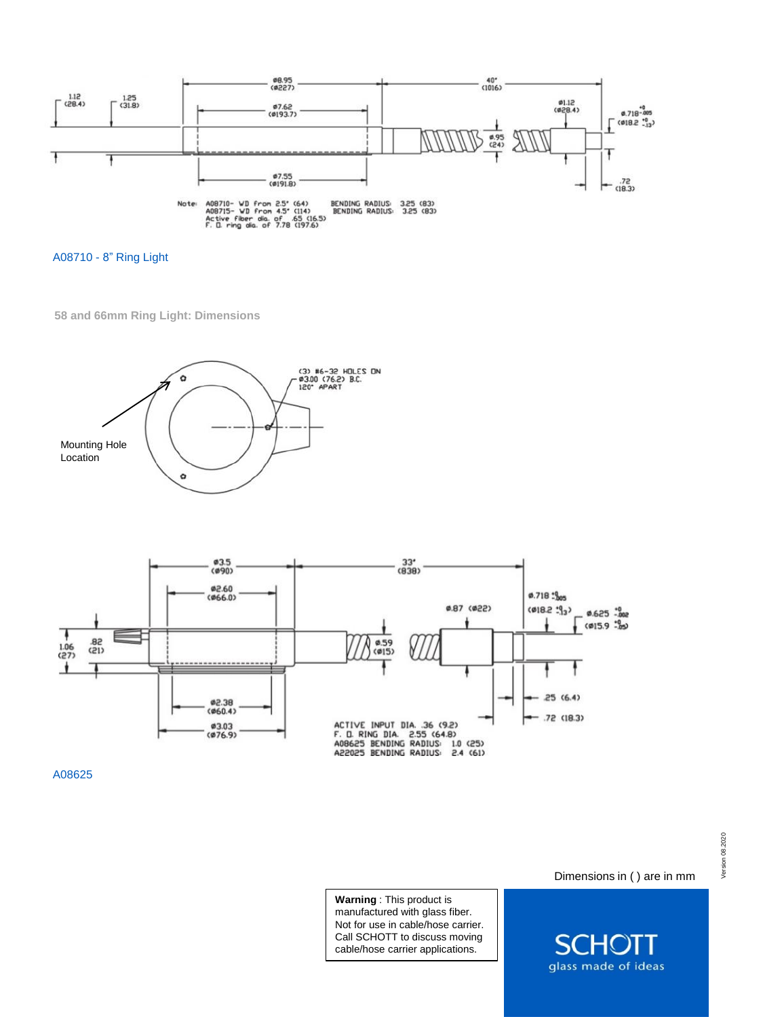

A08710 - 8" Ring Light

**58 and 66mm Ring Light: Dimensions** 





A08625

**Warning** : This product is manufactured with glass fiber. Not for use in cable/hose carrier. Call SCHOTT to discuss moving cable/hose carrier applications.

Dimensions in ( ) are in mm

П

 $S($ 

 $\Box$   $\Box$ 

glass made of ideas